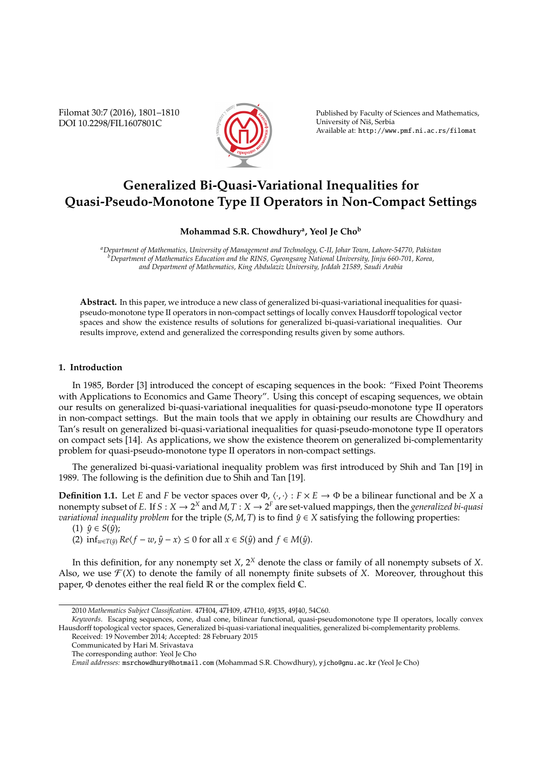Filomat 30:7 (2016), 1801–1810 DOI 10.2298/FIL1607801C



Published by Faculty of Sciences and Mathematics, University of Niš, Serbia Available at: http://www.pmf.ni.ac.rs/filomat

# **Generalized Bi-Quasi-Variational Inequalities for Quasi-Pseudo-Monotone Type II Operators in Non-Compact Settings**

## **Mohammad S.R. Chowdhury<sup>a</sup> , Yeol Je Cho<sup>b</sup>**

*<sup>a</sup>Department of Mathematics, University of Management and Technology, C-II, Johar Town, Lahore-54770, Pakistan <sup>b</sup>Department of Mathematics Education and the RINS, Gyeongsang National University, Jinju 660-701, Korea, and Department of Mathematics, King Abdulaziz University, Jeddah 21589, Saudi Arabia*

**Abstract.** In this paper, we introduce a new class of generalized bi-quasi-variational inequalities for quasipseudo-monotone type II operators in non-compact settings of locally convex Hausdorff topological vector spaces and show the existence results of solutions for generalized bi-quasi-variational inequalities. Our results improve, extend and generalized the corresponding results given by some authors.

#### **1. Introduction**

In 1985, Border [3] introduced the concept of escaping sequences in the book: "Fixed Point Theorems with Applications to Economics and Game Theory". Using this concept of escaping sequences, we obtain our results on generalized bi-quasi-variational inequalities for quasi-pseudo-monotone type II operators in non-compact settings. But the main tools that we apply in obtaining our results are Chowdhury and Tan's result on generalized bi-quasi-variational inequalities for quasi-pseudo-monotone type II operators on compact sets [14]. As applications, we show the existence theorem on generalized bi-complementarity problem for quasi-pseudo-monotone type II operators in non-compact settings.

The generalized bi-quasi-variational inequality problem was first introduced by Shih and Tan [19] in 1989. The following is the definition due to Shih and Tan [19].

**Definition 1.1.** Let *E* and *F* be vector spaces over  $\Phi$ ,  $\langle \cdot, \cdot \rangle : F \times E \to \Phi$  be a bilinear functional and be *X* a nonempty subset of *E*. If  $S: X \to 2^X$  and  $M$ ,  $T: X \to 2^F$  are set-valued mappings, then the *generalized bi-quasi variational inequality problem* for the triple  $(S, M, T)$  is to find  $\hat{y} \in X$  satisfying the following properties:

 $(1)$   $\hat{y} \in S(\hat{y})$ ;

(2)  $\inf_{w \in T(\hat{y})} Re\langle f - w, \hat{y} - x \rangle \leq 0$  for all  $x \in S(\hat{y})$  and  $f \in M(\hat{y})$ .

In this definition, for any nonempty set *X*, 2*<sup>X</sup>* denote the class or family of all nonempty subsets of *X*. Also, we use  $\mathcal{F}(X)$  to denote the family of all nonempty finite subsets of *X*. Moreover, throughout this paper, Φ denotes either the real field R or the complex field C.

<sup>2010</sup> *Mathematics Subject Classification*. 47H04, 47H09, 47H10, 49J35, 49J40, 54C60.

*Keywords*. Escaping sequences, cone, dual cone, bilinear functional, quasi-pseudomonotone type II operators, locally convex Hausdorff topological vector spaces, Generalized bi-quasi-variational inequalities, generalized bi-complementarity problems.

Received: 19 November 2014; Accepted: 28 February 2015

Communicated by Hari M. Srivastava

The corresponding author: Yeol Je Cho

*Email addresses:* msrchowdhury@hotmail.com (Mohammad S.R. Chowdhury), yjcho@gnu.ac.kr (Yeol Je Cho)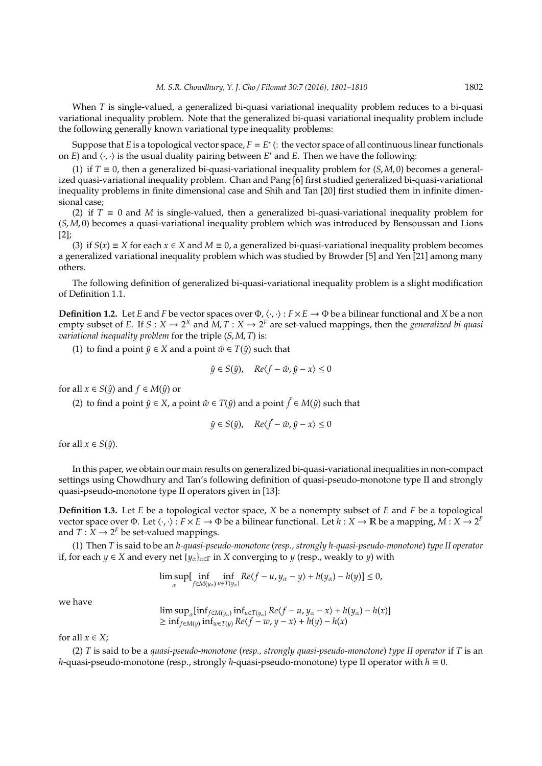When *T* is single-valued, a generalized bi-quasi variational inequality problem reduces to a bi-quasi variational inequality problem. Note that the generalized bi-quasi variational inequality problem include the following generally known variational type inequality problems:

Suppose that *E* is a topological vector space,  $F = E^*$  (: the vector space of all continuous linear functionals on *E*) and  $\langle \cdot, \cdot \rangle$  is the usual duality pairing between  $E^*$  and *E*. Then we have the following:

(1) if *T* ≡ 0, then a generalized bi-quasi-variational inequality problem for (*S*, *M*, 0) becomes a generalized quasi-variational inequality problem. Chan and Pang [6] first studied generalized bi-quasi-variational inequality problems in finite dimensional case and Shih and Tan [20] first studied them in infinite dimensional case;

(2) if  $T \equiv 0$  and *M* is single-valued, then a generalized bi-quasi-variational inequality problem for (*S*, *M*, 0) becomes a quasi-variational inequality problem which was introduced by Bensoussan and Lions [2];

(3) if  $S(x) \equiv X$  for each  $x \in X$  and  $M \equiv 0$ , a generalized bi-quasi-variational inequality problem becomes a generalized variational inequality problem which was studied by Browder [5] and Yen [21] among many others.

The following definition of generalized bi-quasi-variational inequality problem is a slight modification of Definition 1.1.

**Definition 1.2.** Let *E* and *F* be vector spaces over  $\Phi$ ,  $\langle \cdot, \cdot \rangle : F \times E \to \Phi$  be a bilinear functional and *X* be a non empty subset of *E*. If  $S: X \to 2^X$  and  $M, T: X \to 2^F$  are set-valued mappings, then the *generalized bi-quasi variational inequality problem* for the triple (*S*, *M*, *T*) is:

(1) to find a point  $\hat{y} \in X$  and a point  $\hat{w} \in T(\hat{y})$  such that

$$
\hat{y} \in S(\hat{y}), \quad Re\langle f - \hat{w}, \hat{y} - x \rangle \le 0
$$

for all  $x \in S(\hat{y})$  and  $f \in M(\hat{y})$  or

(2) to find a point  $\hat{y} \in X$ , a point  $\hat{w} \in T(\hat{y})$  and a point  $\hat{f} \in M(\hat{y})$  such that

$$
\hat{y} \in S(\hat{y}), \quad Re\langle \hat{f} - \hat{w}, \hat{y} - x \rangle \le 0
$$

for all  $x \in S(\hat{y})$ .

In this paper, we obtain our main results on generalized bi-quasi-variational inequalities in non-compact settings using Chowdhury and Tan's following definition of quasi-pseudo-monotone type II and strongly quasi-pseudo-monotone type II operators given in [13]:

**Definition 1.3.** Let *E* be a topological vector space, *X* be a nonempty subset of *E* and *F* be a topological vector space over  $\Phi$ . Let  $\langle \cdot, \cdot \rangle : F \times E \to \Phi$  be a bilinear functional. Let  $h: X \to \mathbb{R}$  be a mapping,  $M: X \to 2^F$ and  $T : X \to 2^F$  be set-valued mappings.

(1) Then *T* is said to be an *h-quasi-pseudo-monotone* (*resp., strongly h-quasi-pseudo-monotone*) *type II operator* if, for each *y* ∈ *X* and every net  ${y_{\alpha}}_{\alpha \in \Gamma}$  in *X* converging to *y* (resp., weakly to *y*) with

$$
\limsup_{\alpha} \left[ \inf_{f \in M(y_{\alpha})} \inf_{u \in T(y_{\alpha})} Re\langle f - u, y_{\alpha} - y \rangle + h(y_{\alpha}) - h(y) \right] \leq 0,
$$

we have

$$
\limsup_{\alpha} \left[ \inf_{f \in M(y)} \inf_{u \in T(y)} Re(f - u, y_{\alpha} - x) + h(y_{\alpha}) - h(x) \right]
$$
  
\n
$$
\geq \inf_{f \in M(y)} \inf_{w \in T(y)} Re(f - w, y - x) + h(y) - h(x)
$$

for all  $x \in X$ ;

(2) *T* is said to be a *quasi-pseudo-monotone* (*resp., strongly quasi-pseudo-monotone*) *type II operator* if *T* is an *h*-quasi-pseudo-monotone (resp., strongly *h*-quasi-pseudo-monotone) type II operator with *h* ≡ 0.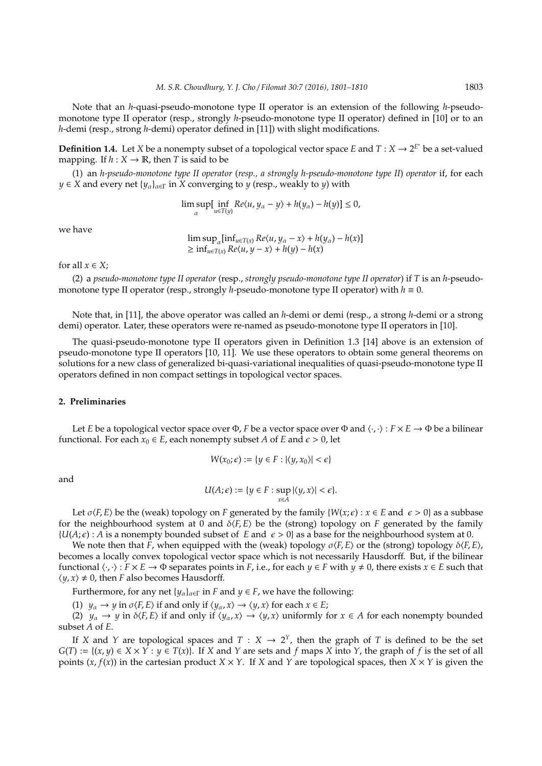Note that an *h*-quasi-pseudo-monotone type II operator is an extension of the following *h*-pseudomonotone type II operator (resp., strongly *h*-pseudo-monotone type II operator) defined in [10] or to an *h*-demi (resp., strong *h*-demi) operator defined in [11]) with slight modifications.

**Definition 1.4.** Let *X* be a nonempty subset of a topological vector space *E* and  $T : X \to 2^{E^*}$  be a set-valued mapping. If  $h: X \to \mathbb{R}$ , then *T* is said to be

(1) an *h-pseudo-monotone type II operator* (*resp., a strongly h-pseudo-monotone type II*) *operator* if, for each *y*  $\in$  *X* and every net  $\{y_{\alpha}\}_{{\alpha} \in \Gamma}$  in *X* converging to *y* (resp., weakly to *y*) with

$$
\limsup_{\alpha} \left[ \inf_{u \in T(y)} Re\langle u, y_{\alpha} - y \rangle + h(y_{\alpha}) - h(y) \right] \leq 0,
$$

we have

 $\limsup_{\alpha} [\inf_{u \in T(x)} Re\langle u, y_{\alpha} - x \rangle + h(y_{\alpha}) - h(x)]$  $\geq \inf_{u \in T(x)} Re\langle u, y - x \rangle + h(y) - h(x)$ 

for all  $x \in X$ ;

(2) a *pseudo-monotone type II operator* (resp., *strongly pseudo-monotone type II operator*) if *T* is an *h*-pseudomonotone type II operator (resp., strongly *h*-pseudo-monotone type II operator) with  $h \equiv 0$ .

Note that, in [11], the above operator was called an *h*-demi or demi (resp., a strong *h*-demi or a strong demi) operator. Later, these operators were re-named as pseudo-monotone type II operators in [10].

The quasi-pseudo-monotone type II operators given in Definition 1.3 [14] above is an extension of pseudo-monotone type II operators [10, 11]. We use these operators to obtain some general theorems on solutions for a new class of generalized bi-quasi-variational inequalities of quasi-pseudo-monotone type II operators defined in non compact settings in topological vector spaces.

### **2. Preliminaries**

Let *E* be a topological vector space over  $\Phi$ , *F* be a vector space over  $\Phi$  and  $\langle \cdot, \cdot \rangle : F \times E \to \Phi$  be a bilinear functional. For each  $x_0 \in E$ , each nonempty subset *A* of *E* and  $\epsilon > 0$ , let

$$
W(x_0;\epsilon):=\{y\in F: |\langle y,x_0\rangle|<\epsilon\}
$$

and

$$
U(A;\epsilon):=\{y\in F: \sup_{x\in A}|\langle y,x\rangle|<\epsilon\}.
$$

Let  $\sigma$  $\langle F, E \rangle$  be the (weak) topology on *F* generated by the family  $\{W(x;\epsilon) : x \in E \text{ and } \epsilon > 0\}$  as a subbase for the neighbourhood system at 0 and  $\delta \langle F, E \rangle$  be the (strong) topology on *F* generated by the family  ${U(A,\epsilon): A \text{ is a nonempty bounded subset of } E \text{ and } \epsilon > 0}$  as a base for the neighbourhood system at 0.

We note then that *F*, when equipped with the (weak) topology  $\sigma\langle F, E \rangle$  or the (strong) topology  $\delta\langle F, E \rangle$ , becomes a locally convex topological vector space which is not necessarily Hausdorff. But, if the bilinear functional  $\langle \cdot, \cdot \rangle : F \times E \to \Phi$  separates points in *F*, i.e., for each  $y \in F$  with  $y \neq 0$ , there exists  $x \in E$  such that  $\langle \psi, x \rangle \neq 0$ , then *F* also becomes Hausdorff.

Furthermore, for any net  $\{y_\alpha\}_{\alpha \in \Gamma}$  in *F* and  $y \in F$ , we have the following:

(1) *y<sub>α</sub>*  $\rightarrow$  *y* in  $\sigma$  *(F, E)* if and only if  $\langle y_\alpha, x \rangle \rightarrow \langle y, x \rangle$  for each  $x \in E$ ;

(2)  $y_\alpha \to y$  in  $\delta \langle F, E \rangle$  if and only if  $\langle y_\alpha, x \rangle \to \langle y, x \rangle$  uniformly for  $x \in A$  for each nonempty bounded subset *A* of *E*.

If *X* and *Y* are topological spaces and  $T : X \to 2^Y$ , then the graph of *T* is defined to be the set  $G(T) := \{(x, y) \in X \times Y : y \in T(x)\}$ . If *X* and *Y* are sets and *f* maps *X* into *Y*, the graph of *f* is the set of all points  $(x, f(x))$  in the cartesian product  $X \times Y$ . If *X* and *Y* are topological spaces, then  $X \times Y$  is given the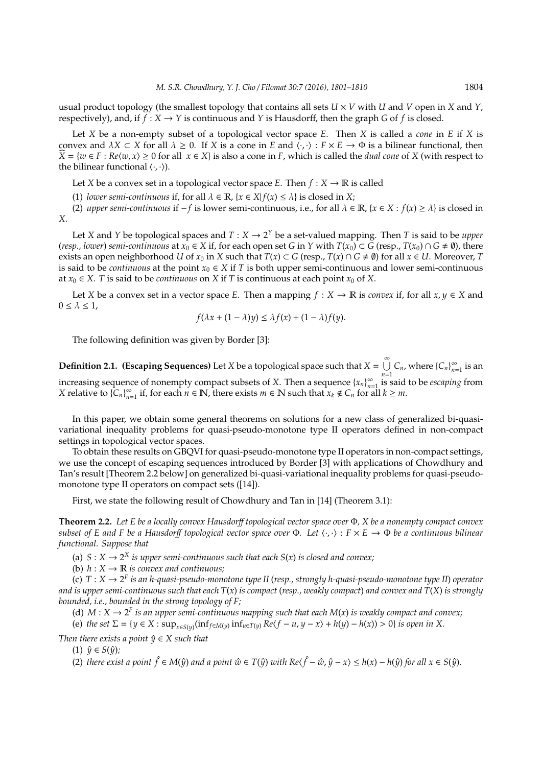usual product topology (the smallest topology that contains all sets  $U \times V$  with *U* and *V* open in *X* and *Y*, respectively), and, if  $f : X \to Y$  is continuous and *Y* is Hausdorff, then the graph *G* of *f* is closed.

Let *X* be a non-empty subset of a topological vector space *E*. Then *X* is called a *cone* in *E* if *X* is convex and  $\lambda X \subset X$  for all  $\lambda \geq 0$ . If *X* is a cone in *E* and  $\langle \cdot, \cdot \rangle : F \times E \to \Phi$  is a bilinear functional, then  $X = \{w \in F : Re\langle w, x \rangle \ge 0 \text{ for all } x \in X\}$  is also a cone in *F*, which is called the *dual cone* of *X* (with respect to the bilinear functional  $\langle \cdot, \cdot \rangle$ ).

Let *X* be a convex set in a topological vector space *E*. Then  $f : X \to \mathbb{R}$  is called

(1) *lower semi-continuous* if, for all  $\lambda \in \mathbb{R}$ ,  $\{x \in X | f(x) \leq \lambda\}$  is closed in X;

(2) *upper semi-continuous* if  $−f$  is lower semi-continuous, i.e., for all  $\lambda \in \mathbb{R}$ ,  $\{x \in X : f(x) \ge \lambda\}$  is closed in *X*.

Let *X* and *Y* be topological spaces and  $T : X \to 2^Y$  be a set-valued mapping. Then *T* is said to be *upper* (*resp., lower*) *semi-continuous* at  $x_0 \in X$  if, for each open set *G* in *Y* with  $T(x_0) \subset G$  (resp.,  $T(x_0) \cap G \neq \emptyset$ ), there exists an open neighborhood *U* of  $x_0$  in *X* such that  $T(x) \subset G$  (resp.,  $T(x) \cap G \neq \emptyset$ ) for all  $x \in U$ . Moreover, *T* is said to be *continuous* at the point  $x_0 \in X$  if *T* is both upper semi-continuous and lower semi-continuous at  $x_0 \in X$ . *T* is said to be *continuous* on *X* if *T* is continuous at each point  $x_0$  of *X*.

Let *X* be a convex set in a vector space *E*. Then a mapping  $f : X \to \mathbb{R}$  is *convex* if, for all  $x, y \in X$  and  $0 \leq \lambda \leq 1$ ,

$$
f(\lambda x + (1 - \lambda)y) \le \lambda f(x) + (1 - \lambda)f(y).
$$

The following definition was given by Border [3]:

**Definition 2.1.** (Escaping Sequences) Let *X* be a topological space such that  $X = \bigcup_{n=1}^{\infty} X_n$  $\bigcup_{n=1}^{\infty} C_n$ , where  $\{C_n\}_{n=1}^{\infty}$  $\sum_{n=1}^{\infty}$  is an increasing sequence of nonempty compact subsets of *X*. Then a sequence  $\{x_n\}_{n=1}^{\infty}$ *n*=1 is said to be *escaping* from *X* relative to  $\{C_n\}_{n=1}^{\infty}$  $\sum_{n=1}^{\infty}$  if, for each  $n \in \mathbb{N}$ , there exists  $m \in \mathbb{N}$  such that  $x_k \notin C_n$  for all  $k \geq m$ .

In this paper, we obtain some general theorems on solutions for a new class of generalized bi-quasivariational inequality problems for quasi-pseudo-monotone type II operators defined in non-compact settings in topological vector spaces.

To obtain these results on GBQVI for quasi-pseudo-monotone type II operators in non-compact settings, we use the concept of escaping sequences introduced by Border [3] with applications of Chowdhury and Tan's result [Theorem 2.2 below] on generalized bi-quasi-variational inequality problems for quasi-pseudomonotone type II operators on compact sets ([14]).

First, we state the following result of Chowdhury and Tan in [14] (Theorem 3.1):

**Theorem 2.2.** *Let E be a locally convex Hausdor*ff *topological vector space over* Φ*, X be a nonempty compact convex subset of E and F be a Hausdorff topological vector space over*  $\Phi$ . Let  $\langle \cdot, \cdot \rangle : F \times E \to \Phi$  *be a continuous bilinear functional. Suppose that*

(a)  $S: X \to 2^X$  *is upper semi-continuous such that each*  $S(x)$  *is closed and convex*;

(b)  $h: X \to \mathbb{R}$  *is convex and continuous;* 

(c) *T* : *X* → 2 *F is an h-quasi-pseudo-monotone type II* (*resp., strongly h-quasi-pseudo-monotone type II*) *operator and is upper semi-continuous such that each T*(*x*) *is compact* (*resp., weakly compact*) *and convex and T*(*X*) *is strongly bounded, i.e., bounded in the strong topology of F;*

(d)  $M: X \to 2^F$  *is an upper semi-continuous mapping such that each*  $M(x)$  *is weakly compact and convex*;

(e) the set  $\Sigma = \{y \in X : \sup_{x \in S(y)} (\inf_{f \in M(y)} \inf_{u \in T(y)} Re(f - u, y - x) + h(y) - h(x)) > 0\}$  is open in X.

*Then there exists a point*  $\hat{y} \in X$  *such that* 

 $(1) \hat{y} \in S(\hat{y})$ ;

(2) there exist a point  $\hat{f} \in M(\hat{y})$  and a point  $\hat{w} \in T(\hat{y})$  with  $Re\langle \hat{f} - \hat{w}, \hat{y} - x \rangle \leq h(x) - h(\hat{y})$  for all  $x \in S(\hat{y})$ .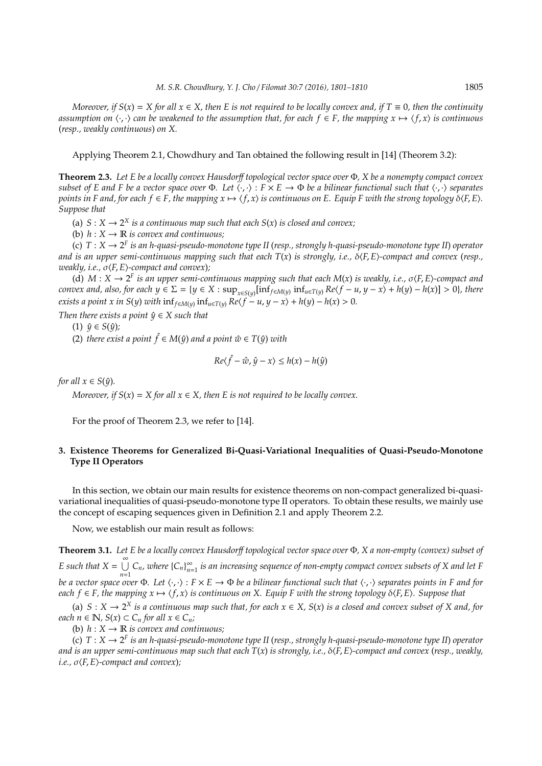*Moreover, if*  $S(x) = X$  *for all*  $x \in X$ *, then* E *is not required to be locally convex and, if*  $T \equiv 0$ *, then the continuity assumption on*  $\langle \cdot, \cdot \rangle$  *can be weakened to the assumption that, for each*  $f \in F$ *, the mapping*  $x \mapsto \langle f, x \rangle$  *is continuous* (*resp., weakly continuous*) *on X.*

Applying Theorem 2.1, Chowdhury and Tan obtained the following result in [14] (Theorem 3.2):

**Theorem 2.3.** *Let E be a locally convex Hausdor*ff *topological vector space over* Φ*, X be a nonempty compact convex subset of E and F be a vector space over*  $\Phi$ *. Let*  $\langle \cdot, \cdot \rangle$  :  $F \times E \to \Phi$  *be a bilinear functional such that*  $\langle \cdot, \cdot \rangle$  *separates points in F and, for each f*  $\in$  *F, the mapping*  $x \mapsto \langle f, x \rangle$  *is continuous on E. Equip F with the strong topology*  $\delta \langle F, E \rangle$ *. Suppose that*

(a)  $S: X \to 2^X$  *is a continuous map such that each*  $S(x)$  *is closed and convex*;

(b)  $h: X \to \mathbb{R}$  *is convex and continuous;* 

(c) *T* : *X* → 2 *F is an h-quasi-pseudo-monotone type II* (*resp., strongly h-quasi-pseudo-monotone type II*) *operator and is an upper semi-continuous mapping such that each*  $T(x)$  *is strongly, i.e.,*  $\delta \langle F, E \rangle$ -compact and convex (*resp.*, *weakly, i.e.,*  $σ$  $(F, E)$ *-compact and convex*)*;* 

(d)  $M: X \to 2^F$  *is an upper semi-continuous mapping such that each*  $M(x)$  *is weakly, i.e.,*  $\sigma \langle F, E \rangle$ -compact and convex and, also, for each  $y \in \Sigma = \{y \in X : \sup_{x \in S(y)}[\inf_{f \in M(y)} \inf_{u \in T(y)} Re(f - u, y - x) + h(y) - h(x)] > 0\}$ , there *exists a point x in S*(*y*) *with*  $\inf_{f \in M(y)} \inf_{u \in T(y)} Re\langle f - u, y - x \rangle + h(y) - h(x) > 0$ .

*Then there exists a point*  $\hat{y} \in X$  *such that* 

$$
(1) \ \hat{y} \in S(\hat{y});
$$

(2) *there exist a point*  $\hat{f} \in M(\hat{y})$  *and a point*  $\hat{w} \in T(\hat{y})$  *with* 

$$
Re\langle \hat{f} - \hat{w}, \hat{y} - x \rangle \le h(x) - h(\hat{y})
$$

*for all*  $x \in S(\hat{y})$ *.* 

*Moreover, if*  $S(x) = X$  *for all*  $x \in X$ *, then E is not required to be locally convex.* 

For the proof of Theorem 2.3, we refer to [14].

## **3. Existence Theorems for Generalized Bi-Quasi-Variational Inequalities of Quasi-Pseudo-Monotone Type II Operators**

In this section, we obtain our main results for existence theorems on non-compact generalized bi-quasivariational inequalities of quasi-pseudo-monotone type II operators. To obtain these results, we mainly use the concept of escaping sequences given in Definition 2.1 and apply Theorem 2.2.

Now, we establish our main result as follows:

**Theorem 3.1.** *Let E be a locally convex Hausdor*ff *topological vector space over* Φ*, X a non-empty (convex) subset of E* such that  $X = \bigcup_{n=1}^{\infty} C_n$ , where  $\{C_n\}_{n=1}^{\infty}$ *be a vector space over* Φ. Let  $\langle \cdot, \cdot \rangle$ : *F* × *E* → Φ *be a bilinear functional such that*  $\langle \cdot, \cdot \rangle$  *separates points in F and for n*=1 *is an increasing sequence of non-empty compact convex subsets of X and let F each*  $f \in F$ , the mapping  $x \mapsto \langle f, x \rangle$  is continuous on X. Equip F with the strong topology  $\delta \langle F, E \rangle$ . Suppose that

(a)  $S: X \to 2^X$  *is a continuous map such that, for each*  $x ∈ X$ *, S*(*x*) *is a closed and convex subset of X and, for each*  $n \in \mathbb{N}$ *,*  $S(x) \subset C_n$  *for all*  $x \in C_n$ *;* 

(b)  $h: X \to \mathbb{R}$  *is convex and continuous;* 

(c) *T* : *X* → 2 *F is an h-quasi-pseudo-monotone type II* (*resp., strongly h-quasi-pseudo-monotone type II*) *operator and is an upper semi-continuous map such that each*  $T(x)$  *is strongly, i.e.,*  $\delta \langle F, E \rangle$ -compact and convex (*resp., weakly,*  $i.e., \sigma\langle F, E\rangle$ -compact and convex);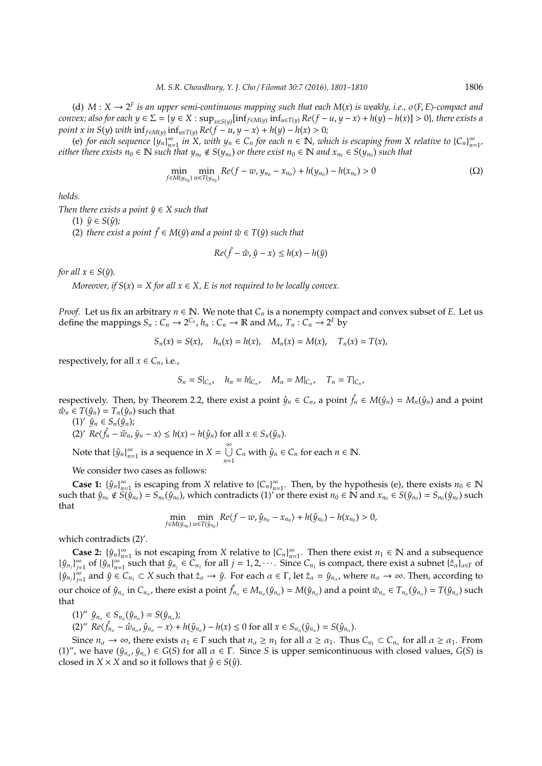(d)  $M: X \to 2^F$  *is an upper semi-continuous mapping such that each*  $M(x)$  *is weakly, i.e.,*  $\sigma \langle F, E \rangle$ -compact and convex; also for each  $y \in \Sigma = \{y \in X : \sup_{x \in S(y)}[\inf_{f \in M(y)} \inf_{u \in T(y)} Re(f - u, y - x) + h(y) - h(x)] > 0\}$ , there exists a *point x in S*(*y*) *with*  $\inf_{f \in M(y)} \inf_{u \in T(y)} Re\langle f - u, y - x \rangle + h(y) - h(x) > 0;$ 

(e) *for each sequence*  $\{y_n\}_{n=1}^{\infty}$  $\sum_{n=1}^{\infty}$  *in X, with*  $y_n \in C_n$  *for each*  $n \in \mathbb{N}$ *, which is escaping from X relative to*  $\{C_n\}_{n=1}^{\infty}$  $\frac{\infty}{n=1}$ *either there exists*  $n_0 \in \mathbb{N}$  *such that*  $y_{n_0} \notin S(y_{n_0})$  *or there exist*  $n_0 \in \mathbb{N}$  *and*  $x_{n_0} \in S(y_{n_0})$  *such that* 

$$
\min_{f \in M(y_{n_0})} \min_{w \in T(y_{n_0})} Re\langle f - w, y_{n_0} - x_{n_0} \rangle + h(y_{n_0}) - h(x_{n_0}) > 0 \tag{ \Omega}
$$

*holds.*

*Then there exists a point*  $\hat{y} \in X$  *such that* 

 $(1) \hat{y} \in S(\hat{y})$ ;

(2) *there exist a point*  $\hat{f}$  ∈ *M*( $\hat{y}$ ) *and a point*  $\hat{w}$  ∈ *T*( $\hat{y}$ ) *such that* 

$$
Re\langle \hat{f} - \hat{w}, \hat{y} - x \rangle \le h(x) - h(\hat{y})
$$

*for all*  $x \in S(\hat{y})$ *.* 

*Moreover, if*  $S(x) = X$  *for all*  $x \in X$ *, E is not required to be locally convex.* 

*Proof.* Let us fix an arbitrary  $n \in \mathbb{N}$ . We note that  $C_n$  is a nonempty compact and convex subset of *E*. Let us define the mappings  $S_n: C_n \to 2^{C_n}$ ,  $h_n: C_n \to \mathbb{R}$  and  $M_n$ ,  $T_n: C_n \to 2^F$  by

$$
S_n(x) = S(x), \quad h_n(x) = h(x), \quad M_n(x) = M(x), \quad T_n(x) = T(x),
$$

respectively, for all  $x \in C_n$ , i.e.,

$$
S_n = S|_{C_n}, \quad h_n = h|_{C_n}, \quad M_n = M|_{C_n}, \quad T_n = T|_{C_n},
$$

respectively. Then, by Theorem 2.2, there exist a point  $\hat{y}_n \in C_n$ , a point  $\hat{f}_n \in M(\hat{y}_n) = M_n(\hat{y}_n)$  and a point  $\hat{w}_n \in T(\hat{y}_n) = T_n(\hat{y}_n)$  such that

 $(1)'$   $\hat{y}_n \in S_n(\hat{y}_n)$ ;  $(2)'$  *Re* $\langle \hat{f}_n - \hat{w}_n, \hat{y}_n - x \rangle \le h(x) - h(\hat{y}_n)$  for all  $x \in S_n(\hat{y}_n)$ . Note that  $\{\hat{y}_n\}_{n=1}^{\infty}$  $\sum_{n=1}^{\infty}$  is a sequence in *X* =  $\bigcup_{n=1}^{\infty}$  $\bigcup_{n=1}^{\infty} C_n$  with  $\hat{y}_n \in C_n$  for each  $n \in \mathbb{N}$ .

We consider two cases as follows:

Case 1:  $\{\hat{y}_n\}_{n=1}^{\infty}$  $\sum_{n=1}^{\infty}$  is escaping from *X* relative to  ${C_n}_{n=1}^{\infty}$  $\sum_{n=1}^{\infty}$ . Then, by the hypothesis (e), there exists *n*<sub>0</sub>  $\in \mathbb{N}$ such that  $\hat{y}_{n_0} \notin \hat{S(\hat{y}_{n_0})} = \hat{S_{n_0}(\hat{y}_{n_0})}$ , which contradicts (1)' or there exist  $n_0 \in \mathbb{N}$  and  $x_{n_0} \in S(\hat{y}_{n_0}) = S_{n_0}(\hat{y}_{n_0})$  such that

$$
\min_{f \in M(\hat{y}_{n_0})} \min_{w \in T(\hat{y}_{n_0})} Re\langle f - w, \hat{y}_{n_0} - x_{n_0} \rangle + h(\hat{y}_{n_0}) - h(x_{n_0}) > 0,
$$

which contradicts (2)'.

**Case 2:**  $\{\hat{y}_n\}_{n=1}^{\infty}$  is not escaping from *X* relative to  $\{C_n\}_{n=1}^{\infty}$ . Then there exist  $n_1 \in \mathbb{N}$  and a subsequence  $\{\hat{y}_{n_j}\}_{n=1}^{\infty}$  of  $\{\hat{y}_n\}_{n=1}^{\infty}$  such that  $\hat{y}_{n_j} \in C_{n_1}$  for all  $j = 1, 2, \cdots$ . Since ∞ of  $\{\hat{y}_n\}_{n=1}^\infty$  $\sum_{n=1}^{\infty}$  such that  $\hat{y}_{n_j} \in \tilde{C}_{n_1}$  for all  $j = 1, 2, \cdots$ . Since  $C_{n_1}$  is compact, there exist a subnet  $\{\hat{z}_{\alpha}\}_{\alpha \in \Gamma}$  of  ${\{\hat{y}_{n_j}\}}_{i=1}^{\infty}$  $\sum_{j=1}^{\infty}$  and  $\hat{y} \in C_{n_1} \subset X$  such that  $\hat{z}_\alpha \to \hat{y}$ . For each  $\alpha \in \Gamma$ , let  $\hat{z}_\alpha = \hat{y}_{n_\alpha}$ , where  $n_\alpha \to \infty$ . Then, according to our choice of  $\hat{y}_{n_\alpha}$  in  $C_{n_\alpha}$ , there exist a point  $\hat{f}_{n_\alpha} \in M_{n_\alpha}(\hat{y}_{n_\alpha}) = M(\hat{y}_{n_\alpha})$  and a point  $\hat{w}_{n_\alpha} \in T_{n_\alpha}(\hat{y}_{n_\alpha}) = T(\hat{y}_{n_\alpha})$  such that

 $(1)'' \hat{y}_{n_{\alpha}} \in S_{n_{\alpha}}(\hat{y}_{n_{\alpha}}) = S(\hat{y}_{n_{\alpha}});$ 

(2)"  $Re\langle \hat{f}_{n_{\alpha}} - \hat{w}_{n_{\alpha}}, \hat{y}_{n_{\alpha}} - x \rangle + h(\hat{y}_{n_{\alpha}}) - h(x) \le 0$  for all  $x \in S_{n_{\alpha}}(\hat{y}_{n_{\alpha}}) = S(\hat{y}_{n_{\alpha}})$ .

Since  $n_{\alpha} \to \infty$ , there exists  $\alpha_1 \in \Gamma$  such that  $n_{\alpha} \geq n_1$  for all  $\alpha \geq \alpha_1$ . Thus  $C_{n_1} \subset C_{n_{\alpha}}$  for all  $\alpha \geq \alpha_1$ . From  $(1)''$ , we have  $(\hat{y}_{n_{\alpha}}, \hat{y}_{n_{\alpha}}) \in G(S)$  for all  $\alpha \in \Gamma$ . Since *S* is upper semicontinuous with closed values, *G(S)* is closed in *X* × *X* and so it follows that  $\hat{y} \in S(\hat{y})$ .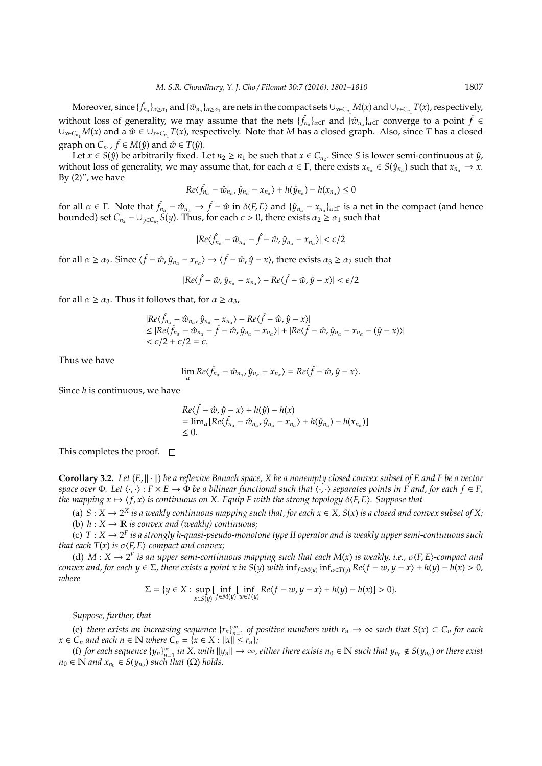$M$ oreover, since  $\{\hat{f}_{n_\alpha}\}_{\alpha\ge\alpha_1}$  and  $\{\hat{w}_{n_\alpha}\}_{\alpha\ge\alpha_1}$  are nets in the compact sets  $\cup_{x\in C_{n_1}}M(x)$  and  $\cup_{x\in C_{n_1}}T(x)$ , respectively, without loss of generality, we may assume that the nets  $\{\hat{f}_{n_a}\}_{a\in\Gamma}$  and  $\{\hat{w}_{n_a}\}_{a\in\Gamma}$  converge to a point  $\hat{f}\in$  $∪_{x \in C_{n_1}} M(x)$  and a  $\hat{w} \in ∪_{x \in C_{n_1}} T(x)$ , respectively. Note that *M* has a closed graph. Also, since *T* has a closed graph on  $C_{n_1}$ ,  $\hat{f} \in M(\hat{y})$  and  $\hat{w} \in T(\hat{y})$ .

Let  $x \in S(\hat{y})$  be arbitrarily fixed. Let  $n_2 \ge n_1$  be such that  $x \in C_{n_2}$ . Since *S* is lower semi-continuous at  $\hat{y}$ , without loss of generality, we may assume that, for each  $\alpha \in \Gamma$ , there exists  $x_{n_\alpha} \in S(\hat{y}_{n_\alpha})$  such that  $x_{n_\alpha} \to x$ . By  $(2)''$ , we have

$$
Re\langle \hat{f}_{n_{\alpha}} - \hat{w}_{n_{\alpha}}, \hat{y}_{n_{\alpha}} - x_{n_{\alpha}} \rangle + h(\hat{y}_{n_{\alpha}}) - h(x_{n_{\alpha}}) \leq 0
$$

for all  $\alpha \in \Gamma$ . Note that  $\hat{f}_{n_\alpha} - \hat{w}_{n_\alpha} \to \hat{f} - \hat{w}$  in  $\delta \langle F, E \rangle$  and  $\{\hat{y}_{n_\alpha} - x_{n_\alpha}\}_{\alpha \in \Gamma}$  is a net in the compact (and hence bounded) set  $C_{n_2} - \bigcup_{y \in C_{n_2}} S(y)$ . Thus, for each  $\epsilon > 0$ , there exists  $\alpha_2 \ge \alpha_1$  such that

$$
|Re\langle \hat{f}_{n_{\alpha}} - \hat{w}_{n_{\alpha}} - \hat{f} - \hat{w}, \hat{y}_{n_{\alpha}} - x_{n_{\alpha}} \rangle| < \epsilon/2
$$

for all  $\alpha \ge \alpha_2$ . Since  $\langle \hat{f} - \hat{w}, \hat{y}_{n_\alpha} - x_{n_\alpha} \rangle \to \langle \hat{f} - \hat{w}, \hat{y} - x \rangle$ , there exists  $\alpha_3 \ge \alpha_2$  such that

$$
|Re\langle \hat{f} - \hat{w}, \hat{y}_{n_{\alpha}} - x_{n_{\alpha}} \rangle - Re\langle \hat{f} - \hat{w}, \hat{y} - x \rangle| < \epsilon/2
$$

for all  $\alpha \ge \alpha_3$ . Thus it follows that, for  $\alpha \ge \alpha_3$ ,

$$
|Re\langle \hat{f}_{n_{\alpha}} - \hat{w}_{n_{\alpha}}, \hat{y}_{n_{\alpha}} - x_{n_{\alpha}} \rangle - Re\langle \hat{f} - \hat{w}, \hat{y} - x \rangle|
$$
  
\n
$$
\leq |Re\langle \hat{f}_{n_{\alpha}} - \hat{w}_{n_{\alpha}} - \hat{f} - \hat{w}, \hat{y}_{n_{\alpha}} - x_{n_{\alpha}} \rangle| + |Re\langle \hat{f} - \hat{w}, \hat{y}_{n_{\alpha}} - x_{n_{\alpha}} - (\hat{y} - x) \rangle|
$$
  
\n
$$
< \epsilon/2 + \epsilon/2 = \epsilon.
$$

Thus we have

$$
\lim_{\alpha} Re\langle \hat{f}_{n_{\alpha}} - \hat{w}_{n_{\alpha}}, \hat{y}_{n_{\alpha}} - x_{n_{\alpha}} \rangle = Re\langle \hat{f} - \hat{w}, \hat{y} - x \rangle.
$$

Since *h* is continuous, we have

$$
Re\langle \hat{f} - \hat{w}, \hat{y} - x \rangle + h(\hat{y}) - h(x)
$$
  
=  $\lim_{\alpha} [Re\langle \hat{f}_{n_{\alpha}} - \hat{w}_{n_{\alpha}}, \hat{y}_{n_{\alpha}} - x_{n_{\alpha}} \rangle + h(\hat{y}_{n_{\alpha}}) - h(x_{n_{\alpha}})]$   
 $\leq 0.$ 

This completes the proof.  $\square$ 

**Corollary 3.2.** Let  $(E, \|\cdot\|)$  be a reflexive Banach space, X be a nonempty closed convex subset of E and F be a vector *space over*  $\Phi$ *. Let*  $\langle \cdot, \cdot \rangle$  :  $F \times E \to \Phi$  *be a bilinear functional such that*  $\langle \cdot, \cdot \rangle$  *separates points in F and, for each f*  $\in$  *F*, *the mapping*  $x \mapsto \langle f, x \rangle$  *is continuous on X. Equip F with the strong topology*  $\delta \langle F, E \rangle$ *. Suppose that* 

(a)  $S$  :  $X$  →  $2^X$  *is a weakly continuous mapping such that, for each*  $x$  *∈*  $X$ *,*  $S(x)$  *<i>is a closed and convex subset of*  $X$ ; (b)  $h: X \to \mathbb{R}$  *is convex and (weakly) continuous;* 

(c)  $T: X \to 2^F$  is a strongly h-quasi-pseudo-monotone type II operator and is weakly upper semi-continuous such *that each*  $T(x)$  *is*  $\sigma$  $\langle F, E \rangle$ *-compact and convex;* 

(d)  $M: X \to 2^F$  *is an upper semi-continuous mapping such that each*  $M(x)$  *is weakly, i.e.,*  $\sigma \langle F, E \rangle$ -compact and convex and, for each  $y \in \Sigma$ , there exists a point x in S(y) with  $inf_{f \in M(y)} inf_{w \in T(y)} Re(f - w, y - x) + h(y) - h(x) > 0$ , *where*

$$
\Sigma=\{y\in X: \sup_{x\in S(y)}\int_{f\in M(y)}\inf_{w\in T(y)}Re\langle f-w,y-x\rangle+h(y)-h(x)\}>0\}.
$$

*Suppose, further, that*

(e) *there exists an increasing sequence*  ${r_n}_{n=0}^{\infty}$  $\sum_{n=1}^{\infty}$  *of positive numbers with*  $r_n$  → ∞ *such that*  $S(x) \subset C_n$  *for each*  $x \in C_n$  *and each*  $n \in \mathbb{N}$  *where*  $C_n = \{x \in X : ||x|| \leq r_n\}$ *;* 

(f) for each sequence  ${y_n}_{n=0}^{\infty}$  $\sum_{n=1}^{\infty}$  *in X, with*  $||y_n|| \to \infty$ , either there exists  $n_0 \in \mathbb{N}$  such that  $y_{n_0} \notin S(y_{n_0})$  or there exist  $n_0 \in \mathbb{N}$  *and*  $x_{n_0} \in S(y_{n_0})$  *such that* ( $\Omega$ ) *holds.*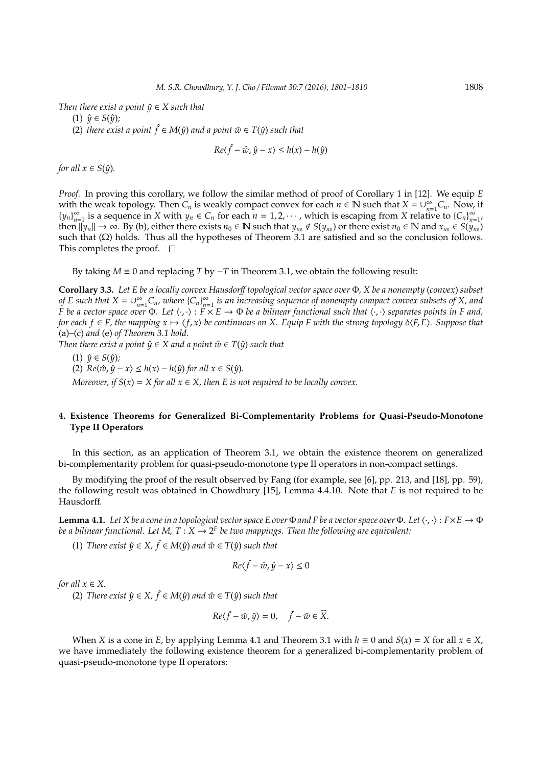*Then there exist a point*  $\hat{y} \in X$  *such that* 

 $(1)$   $\hat{y} \in S(\hat{y})$ ;

(2) *there exist a point*  $\hat{f}$  ∈ *M*( $\hat{y}$ ) *and a point*  $\hat{w}$  ∈ *T*( $\hat{y}$ ) *such that* 

$$
Re\langle \hat{f} - \hat{w}, \hat{y} - x \rangle \le h(x) - h(\hat{y})
$$

*for all*  $x \in S(\hat{y})$ *.* 

*Proof.* In proving this corollary, we follow the similar method of proof of Corollary 1 in [12]. We equip *E* with the weak topology. Then  $C_n$  is weakly compact convex for each  $n \in \mathbb{N}$  such that  $X = \bigcup_{n=1}^{\infty}$  $\sum_{n=1}^{\infty} C_n$ . Now, if  ${y_n}_n^{\infty}$  $\sum_{n=1}^{\infty}$  is a sequence in *X* with  $y_n \in C_n$  for each  $n = 1, 2, \cdots$ , which is escaping from *X* relative to  $\{C_n\}_{n=1}^{\infty}$  $\infty$ <br>*n*=1' then  $||y_n|| \to \infty$ . By (b), either there exists  $n_0 \in \mathbb{N}$  such that  $y_{n_0} \notin S(y_{n_0})$  or there exist  $n_0 \in \mathbb{N}$  and  $x_{n_0} \in S(y_{n_0})$ such that  $(\Omega)$  holds. Thus all the hypotheses of Theorem 3.1 are satisfied and so the conclusion follows. This completes the proof.  $\square$ 

By taking  $M \equiv 0$  and replacing *T* by  $-T$  in Theorem 3.1, we obtain the following result:

**Corollary 3.3.** *Let E be a locally convex Hausdor*ff *topological vector space over* Φ*, X be a nonempty* (*convex*) *subset of E* such that  $X = \bigcup_{n=1}^{\infty}$  $\sum_{n=1}^{\infty} C_n$ *, where*  $\{C_n\}_{n=1}^{\infty}$ *n*=1 *is an increasing sequence of nonempty compact convex subsets of X, and F* be a vector space over  $\Phi$ . Let  $\langle \cdot, \cdot \rangle$  :  $\overline{F} \times E \to \Phi$  be a bilinear functional such that  $\langle \cdot, \cdot \rangle$  separates points in F and, *for each*  $f \in F$ *, the mapping*  $x \mapsto \langle f, x \rangle$  *be continuous on X. Equip F with the strong topology*  $\delta \langle F, E \rangle$ *. Suppose that* (a)*–*(c) *and* (e) *of Theorem 3.1 hold.*

*Then there exist a point*  $\hat{y} \in X$  *and a point*  $\hat{w} \in T(\hat{y})$  *such that* 

 $(1)$   $\hat{y} \in S(\hat{y})$ ; (2)  $Re\langle \hat{w}, \hat{y} - x \rangle \le h(x) - h(\hat{y})$  *for all*  $x \in S(\hat{y})$ *. Moreover, if*  $S(x) = X$  *for all*  $x \in X$ *, then E is not required to be locally convex.* 

## **4. Existence Theorems for Generalized Bi-Complementarity Problems for Quasi-Pseudo-Monotone Type II Operators**

In this section, as an application of Theorem 3.1, we obtain the existence theorem on generalized bi-complementarity problem for quasi-pseudo-monotone type II operators in non-compact settings.

By modifying the proof of the result observed by Fang (for example, see [6], pp. 213, and [18], pp. 59), the following result was obtained in Chowdhury [15], Lemma 4.4.10. Note that *E* is not required to be Hausdorff.

**Lemma 4.1.** Let X be a cone in a topological vector space E over  $\Phi$  and F be a vector space over  $\Phi$ . Let  $\langle \cdot, \cdot \rangle$ :  $F \times E \to \Phi$ *be a bilinear functional. Let M, T* :  $X \to 2^F$  *be two mappings. Then the following are equivalent:* 

 $(1)$  *There exist*  $\hat{y} \in X$ ,  $\hat{f} \in M(\hat{y})$  and  $\hat{w} \in T(\hat{y})$  such that

$$
Re\langle \hat{f} - \hat{w}, \hat{y} - x \rangle \le 0
$$

*for all*  $x \in X$ .

(2) *There exist*  $\hat{y} \in X$ ,  $\hat{f} \in M(\hat{y})$  and  $\hat{w} \in T(\hat{y})$  such that

$$
Re\langle \hat{f} - \hat{w}, \hat{y} \rangle = 0, \quad \hat{f} - \hat{w} \in \widehat{X}.
$$

When *X* is a cone in *E*, by applying Lemma 4.1 and Theorem 3.1 with  $h \equiv 0$  and  $S(x) = X$  for all  $x \in X$ , we have immediately the following existence theorem for a generalized bi-complementarity problem of quasi-pseudo-monotone type II operators: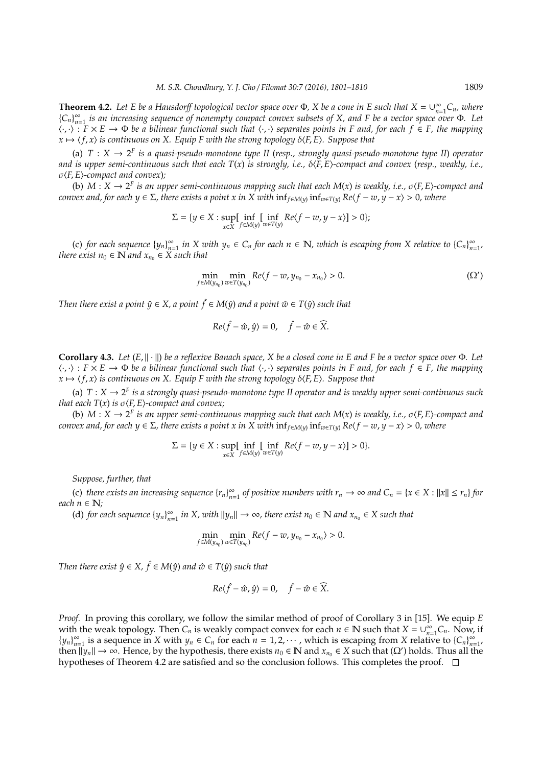**Theorem 4.2.** Let E be a Hausdorff topological vector space over  $\Phi$ , X be a cone in E such that  $X = \bigcup_{n=1}^{\infty} X$ *n*=1 *Cn, where* { $C_n$ }<sup>∞</sup><sub>*n*=</sub> *n*=1 *is an increasing sequence of nonempty compact convex subsets of X, and F be a vector space over* Φ*. Let* h·, ·i : *F* × *E* → Φ *be a bilinear functional such that* h·, ·i *separates points in F and, for each f* ∈ *F, the mapping*  $x \mapsto \langle f, x \rangle$  *is continuous on X. Equip F with the strong topology*  $\delta \langle F, E \rangle$ *. Suppose that* 

(a)  $T: X \to 2^F$  is a quasi-pseudo-monotone type II (resp., strongly quasi-pseudo-monotone type II) operator and is upper semi-continuous such that each  $T(x)$  is strongly, i.e.,  $\delta(F, E)$ -compact and convex (resp., weakly, i.e., σ $(F, E)$ -compact and convex);

(b)  $M: X \to 2^F$  *is an upper semi-continuous mapping such that each*  $M(x)$  *is weakly, i.e.,*  $\sigma \langle F, E \rangle$ -compact and  $convex$  and, for each  $y \in \Sigma$ , there exists a point x in X with  $\inf_{f \in M(y)} \inf_{w \in T(y)} Re(f - w, y - x) > 0$ , where

$$
\Sigma=\{y\in X: \sup_{x\in X} \bigl[\inf_{y\in M(y)}\bigl[\inf_{w\in T(y)}Re(f-w,y-x)\bigr]>0\};
$$

(c) *for each sequence*  ${y_n}_{n=0}^{\infty}$  $\sum_{n=1}^{\infty}$  *in X* with  $y_n \in C_n$  *for each*  $n \in \mathbb{N}$ *, which is escaping from X relative to*  $\{C_n\}_{n=1}^{\infty}$  $\frac{\infty}{n=1}$ *there exist*  $n_0 \in \mathbb{N}$  *and*  $x_{n_0} \in \mathbb{X}$  *such that* 

$$
\min_{f \in M(y_{n_0})} \min_{w \in T(y_{n_0})} Re\langle f - w, y_{n_0} - x_{n_0} \rangle > 0.
$$
 (Ω')

*Then there exist a point*  $\hat{y} \in X$ , a point  $\hat{f} \in M(\hat{y})$  and a point  $\hat{w} \in T(\hat{y})$  such that

$$
Re\langle \hat{f} - \hat{w}, \hat{y} \rangle = 0, \quad \hat{f} - \hat{w} \in \widehat{X}.
$$

**Corollary 4.3.** *Let* (*E*, k · k) *be a reflexive Banach space, X be a closed cone in E and F be a vector space over* Φ*. Let* h·, ·i : *F* × *E* → Φ *be a bilinear functional such that* h·, ·i *separates points in F and, for each f* ∈ *F, the mapping*  $x \mapsto \langle f, x \rangle$  *is continuous on X. Equip F with the strong topology*  $\delta \langle F, E \rangle$ *. Suppose that* 

(a)  $T: X \to 2^F$  is a strongly quasi-pseudo-monotone type II operator and is weakly upper semi-continuous such *that each*  $T(x)$  *is*  $\sigma$  $\langle$ *F*, *E* $\rangle$ *-compact and convex;* 

(b)  $M: X \to 2^F$  *is an upper semi-continuous mapping such that each*  $M(x)$  *is weakly, i.e.,*  $\sigma \langle F, E \rangle$ -compact and  $convex$  and, for each  $y \in \Sigma$ , there exists a point x in X with  $\inf_{f \in M(y)} \inf_{w \in T(y)} Re(f - w, y - x) > 0$ , where

$$
\Sigma = \{ y \in X : \sup_{x \in X} \left[ \inf_{f \in M(y)} \left[ \inf_{w \in T(y)} Re\langle f - w, y - x \rangle \right] > 0 \}.
$$

*Suppose, further, that*

(c) *there exists an increasing sequence*  ${r_n}_{n=0}^{\infty}$  $\sum_{n=1}^{\infty}$  *of positive numbers with*  $r_n \to \infty$  *and*  $C_n = \{x \in X : ||x|| \le r_n\}$  *for each*  $n \in \mathbb{N}$ *;* 

(d) *for each sequence*  ${y_n}_{n=0}^{\infty}$  $\sum_{n=1}^{\infty}$  *in X, with*  $||y_n|| \rightarrow \infty$ , there exist  $n_0 \in \mathbb{N}$  and  $x_{n_0} \in X$  such that

$$
\min_{f\in M(y_{n_0})}\min_{w\in T(y_{n_0})}Re\langle f-w,y_{n_0}-x_{n_0}\rangle>0.
$$

*Then there exist*  $\hat{y} \in X$ ,  $\hat{f} \in M(\hat{y})$  *and*  $\hat{w} \in T(\hat{y})$  *such that* 

$$
Re\langle \hat{f} - \hat{w}, \hat{y} \rangle = 0, \quad \hat{f} - \hat{w} \in \widehat{X}.
$$

*Proof.* In proving this corollary, we follow the similar method of proof of Corollary 3 in [15]. We equip *E* with the weak topology. Then  $C_n$  is weakly compact convex for each  $n \in \mathbb{N}$  such that  $X = \bigcup_{n=1}^{\infty} X_n$  $\sum_{n=1}^{\infty} C_n$ . Now, if  ${y_n}_n^{\infty}$  $\sum_{n=1}^{\infty}$  is a sequence in *X* with  $y_n \in C_n$  for each  $n = 1, 2, \cdots$ , which is escaping from *X* relative to  $\{C_n\}_{n=1}^{\infty}$  $\infty$ <br>*n*=1' then  $||y_n|| \to \infty$ . Hence, by the hypothesis, there exists  $n_0 \in \mathbb{N}$  and  $x_{n_0} \in X$  such that  $(\Omega')$  holds. Thus all the hypotheses of Theorem 4.2 are satisfied and so the conclusion follows. This completes the proof.  $\Box$